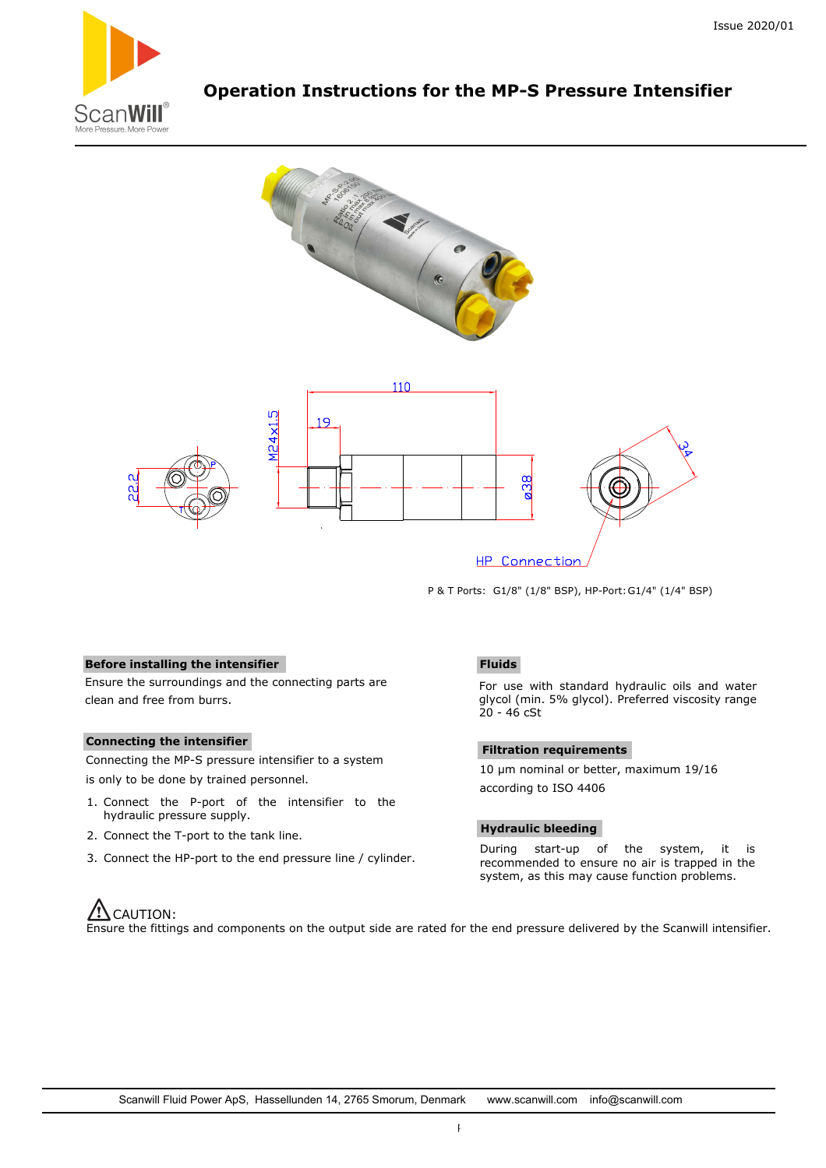

# **Operation Instructions for the MP-S Pressure Intensifier**



P & T Ports: G1/8" (1/8" BSP), HP-Port: G1/4" (1/4" BSP)

# **Before installing the intensifier**

Ensure the surroundings and the connecting parts are clean and free from burrs.

#### **Connecting the intensifier**

Connecting the MP-S pressure intensifier to a system is only to be done by trained personnel.

- 1. Connect the P-port of the intensifier to the hydraulic pressure supply.
- 2. Connect the T-port to the tank line.
- 3. Connect the HP-port to the end pressure line / cylinder.

# **Fluids**

For use with standard hydraulic oils and water glycol (min. 5% glycol). Preferred viscosity range  $20 - 46$  cSt

### **Filtration requirements**

10 µm nominal or better, maximum 19/16 according to ISO 4406

#### **Hydraulic bleeding**

During start-up of the system, it is recommended to ensure no air is trapped in the system, as this may cause function problems.

# $\sqrt{2}$ CAUTION:

Ensure the fittings and components on the output side are rated for the end pressure delivered by the Scanwill intensifier.